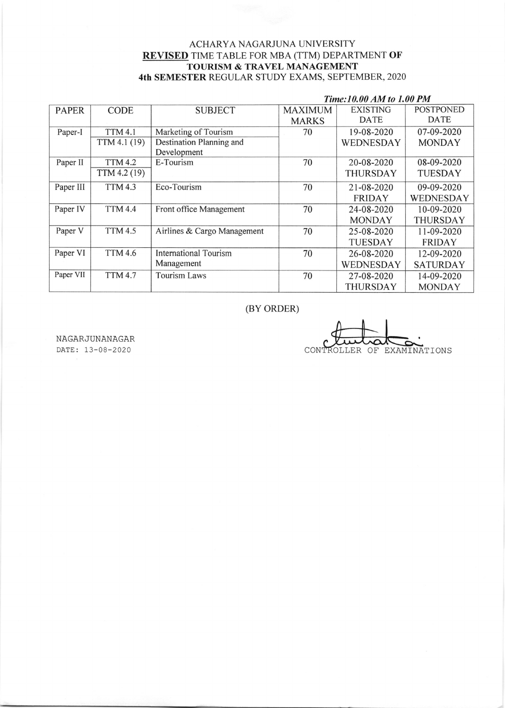### ACHARYA NAGARJUNA UNIVERSITY REVISED TIME TABLE FOR MBA (TTM) DEPARTMENT OF TOURISM & TRAVEL MANAGEMENT 4th SEMESTER REGULAR STUDY EXAMS, SEPTEMBER,2O2O

#### Time:10,00 AM to 1,00 PM

| <b>PAPER</b> | <b>CODE</b>    | <b>SUBJECT</b>               | <b>MAXIMUM</b> | <b>EXISTING</b> | <b>POSTPONED</b> |
|--------------|----------------|------------------------------|----------------|-----------------|------------------|
|              |                |                              | <b>MARKS</b>   | DATE            | <b>DATE</b>      |
| Paper-I      | <b>TTM 4.1</b> | Marketing of Tourism         | 70             | 19-08-2020      | 07-09-2020       |
|              | TTM 4.1 (19)   | Destination Planning and     |                | WEDNESDAY       | <b>MONDAY</b>    |
|              |                | Development                  |                |                 |                  |
| Paper II     | <b>TTM 4.2</b> | E-Tourism                    | 70             | 20-08-2020      | 08-09-2020       |
|              | TTM 4.2 (19)   |                              |                | <b>THURSDAY</b> | <b>TUESDAY</b>   |
| Paper III    | <b>TTM 4.3</b> | Eco-Tourism                  | 70             | 21-08-2020      | 09-09-2020       |
|              |                |                              |                | <b>FRIDAY</b>   | WEDNESDAY        |
| Paper IV     | <b>TTM 4.4</b> | Front office Management      | 70             | 24-08-2020      | 10-09-2020       |
|              |                |                              |                | <b>MONDAY</b>   | <b>THURSDAY</b>  |
| Paper V      | <b>TTM 4.5</b> | Airlines & Cargo Management  | 70             | 25-08-2020      | 11-09-2020       |
|              |                |                              |                | <b>TUESDAY</b>  | <b>FRIDAY</b>    |
| Paper VI     | <b>TTM 4.6</b> | <b>International Tourism</b> | 70             | 26-08-2020      | 12-09-2020       |
|              |                | Management                   |                | WEDNESDAY       | <b>SATURDAY</b>  |
| Paper VII    | <b>TTM 4.7</b> | <b>Tourism Laws</b>          | 70             | 27-08-2020      | 14-09-2020       |
|              |                |                              |                | <b>THURSDAY</b> | <b>MONDAY</b>    |

(BY ORDER)

NAGARJUNANAGAR DATE: 13-08-2020

rat CONTROLLER OF EXAMINATIONS